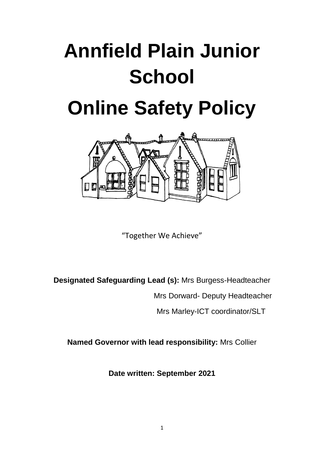# **Annfield Plain Junior School**

## **Online Safety Policy**



"Together We Achieve"

**Designated Safeguarding Lead (s):** Mrs Burgess-Headteacher

Mrs Dorward- Deputy Headteacher

Mrs Marley-ICT coordinator/SLT

**Named Governor with lead responsibility:** Mrs Collier

**Date written: September 2021**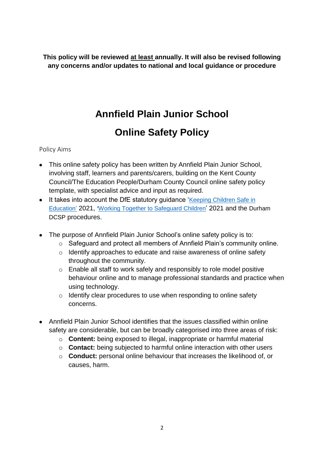**This policy will be reviewed at least annually. It will also be revised following any concerns and/or updates to national and local guidance or procedure**

## **Annfield Plain Junior School**

## **Online Safety Policy**

Policy Aims

- This online safety policy has been written by Annfield Plain Junior School, involving staff, learners and parents/carers, building on the Kent County Council/The Education People/Durham County Council online safety policy template, with specialist advice and input as required.
- It takes into account the DfE statutory quidance 'Keeping Children Safe in [Education'](https://www.gov.uk/government/publications/keeping-children-safe-in-education--2) 2021, '[Working Together to Safeguard Children](https://www.gov.uk/government/publications/working-together-to-safeguard-children--2)' 2021 and the Durham DCSP procedures.
- The purpose of Annfield Plain Junior School's online safety policy is to:
	- o Safeguard and protect all members of Annfield Plain's community online.
	- o Identify approaches to educate and raise awareness of online safety throughout the community.
	- o Enable all staff to work safely and responsibly to role model positive behaviour online and to manage professional standards and practice when using technology.
	- o Identify clear procedures to use when responding to online safety concerns.
- Annfield Plain Junior School identifies that the issues classified within online safety are considerable, but can be broadly categorised into three areas of risk:
	- o **Content:** being exposed to illegal, inappropriate or harmful material
	- o **Contact:** being subjected to harmful online interaction with other users
	- o **Conduct:** personal online behaviour that increases the likelihood of, or causes, harm.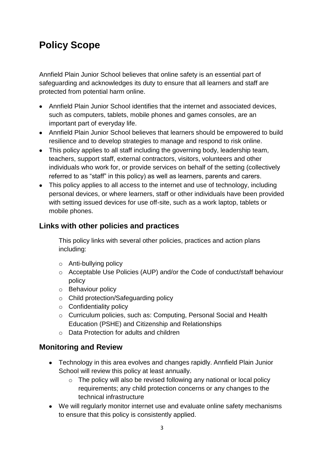## **Policy Scope**

Annfield Plain Junior School believes that online safety is an essential part of safeguarding and acknowledges its duty to ensure that all learners and staff are protected from potential harm online.

- Annfield Plain Junior School identifies that the internet and associated devices, such as computers, tablets, mobile phones and games consoles, are an important part of everyday life.
- Annfield Plain Junior School believes that learners should be empowered to build resilience and to develop strategies to manage and respond to risk online.
- This policy applies to all staff including the governing body, leadership team, teachers, support staff, external contractors, visitors, volunteers and other individuals who work for, or provide services on behalf of the setting (collectively referred to as "staff" in this policy) as well as learners, parents and carers.
- This policy applies to all access to the internet and use of technology, including personal devices, or where learners, staff or other individuals have been provided with setting issued devices for use off-site, such as a work laptop, tablets or mobile phones.

## **Links with other policies and practices**

This policy links with several other policies, practices and action plans including:

- o Anti-bullying policy
- o Acceptable Use Policies (AUP) and/or the Code of conduct/staff behaviour policy
- o Behaviour policy
- o Child protection/Safeguarding policy
- o Confidentiality policy
- o Curriculum policies, such as: Computing, Personal Social and Health Education (PSHE) and Citizenship and Relationships
- o Data Protection for adults and children

### **Monitoring and Review**

- Technology in this area evolves and changes rapidly. Annfield Plain Junior School will review this policy at least annually.
	- $\circ$  The policy will also be revised following any national or local policy requirements; any child protection concerns or any changes to the technical infrastructure
- We will regularly monitor internet use and evaluate online safety mechanisms to ensure that this policy is consistently applied.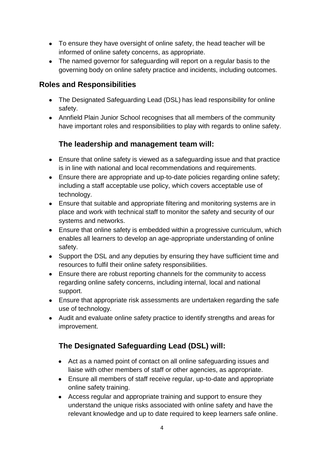- To ensure they have oversight of online safety, the head teacher will be informed of online safety concerns, as appropriate.
- The named governor for safeguarding will report on a regular basis to the governing body on online safety practice and incidents, including outcomes.

#### **Roles and Responsibilities**

- The Designated Safeguarding Lead (DSL) has lead responsibility for online safety.
- Annfield Plain Junior School recognises that all members of the community have important roles and responsibilities to play with regards to online safety.

### **The leadership and management team will:**

- Ensure that online safety is viewed as a safeguarding issue and that practice is in line with national and local recommendations and requirements.
- Ensure there are appropriate and up-to-date policies regarding online safety; including a staff acceptable use policy, which covers acceptable use of technology.
- Ensure that suitable and appropriate filtering and monitoring systems are in place and work with technical staff to monitor the safety and security of our systems and networks.
- Ensure that online safety is embedded within a progressive curriculum, which enables all learners to develop an age-appropriate understanding of online safety.
- Support the DSL and any deputies by ensuring they have sufficient time and resources to fulfil their online safety responsibilities.
- Ensure there are robust reporting channels for the community to access regarding online safety concerns, including internal, local and national support.
- Ensure that appropriate risk assessments are undertaken regarding the safe use of technology.
- Audit and evaluate online safety practice to identify strengths and areas for improvement.

## **The Designated Safeguarding Lead (DSL) will:**

- Act as a named point of contact on all online safeguarding issues and liaise with other members of staff or other agencies, as appropriate.
- Ensure all members of staff receive regular, up-to-date and appropriate online safety training.
- Access regular and appropriate training and support to ensure they understand the unique risks associated with online safety and have the relevant knowledge and up to date required to keep learners safe online.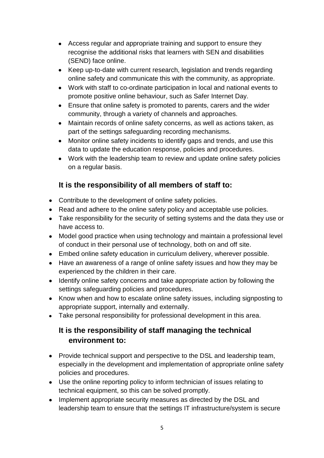- Access regular and appropriate training and support to ensure they recognise the additional risks that learners with SEN and disabilities (SEND) face online.
- Keep up-to-date with current research, legislation and trends regarding online safety and communicate this with the community, as appropriate.
- Work with staff to co-ordinate participation in local and national events to promote positive online behaviour, such as Safer Internet Day.
- Ensure that online safety is promoted to parents, carers and the wider community, through a variety of channels and approaches.
- Maintain records of online safety concerns, as well as actions taken, as part of the settings safeguarding recording mechanisms.
- Monitor online safety incidents to identify gaps and trends, and use this data to update the education response, policies and procedures.
- Work with the leadership team to review and update online safety policies on a regular basis.

## **It is the responsibility of all members of staff to:**

- Contribute to the development of online safety policies.
- Read and adhere to the online safety policy and acceptable use policies.
- Take responsibility for the security of setting systems and the data they use or have access to.
- Model good practice when using technology and maintain a professional level of conduct in their personal use of technology, both on and off site.
- Embed online safety education in curriculum delivery, wherever possible.
- Have an awareness of a range of online safety issues and how they may be experienced by the children in their care.
- Identify online safety concerns and take appropriate action by following the settings safeguarding policies and procedures.
- Know when and how to escalate online safety issues, including signposting to appropriate support, internally and externally.
- Take personal responsibility for professional development in this area.

## **It is the responsibility of staff managing the technical environment to:**

- Provide technical support and perspective to the DSL and leadership team, especially in the development and implementation of appropriate online safety policies and procedures.
- Use the online reporting policy to inform technician of issues relating to technical equipment, so this can be solved promptly.
- Implement appropriate security measures as directed by the DSL and leadership team to ensure that the settings IT infrastructure/system is secure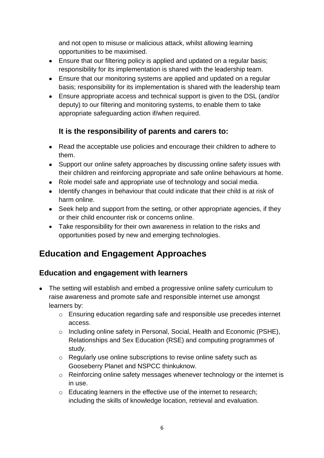and not open to misuse or malicious attack, whilst allowing learning opportunities to be maximised.

- Ensure that our filtering policy is applied and updated on a regular basis; responsibility for its implementation is shared with the leadership team.
- Ensure that our monitoring systems are applied and updated on a regular basis; responsibility for its implementation is shared with the leadership team
- Ensure appropriate access and technical support is given to the DSL (and/or deputy) to our filtering and monitoring systems, to enable them to take appropriate safeguarding action if/when required.

## **It is the responsibility of parents and carers to:**

- Read the acceptable use policies and encourage their children to adhere to them.
- Support our online safety approaches by discussing online safety issues with their children and reinforcing appropriate and safe online behaviours at home.
- Role model safe and appropriate use of technology and social media.
- Identify changes in behaviour that could indicate that their child is at risk of harm online.
- Seek help and support from the setting, or other appropriate agencies, if they or their child encounter risk or concerns online.
- Take responsibility for their own awareness in relation to the risks and opportunities posed by new and emerging technologies.

## **Education and Engagement Approaches**

### **Education and engagement with learners**

- The setting will establish and embed a progressive online safety curriculum to raise awareness and promote safe and responsible internet use amongst learners by:
	- o Ensuring education regarding safe and responsible use precedes internet access.
	- o Including online safety in Personal, Social, Health and Economic (PSHE), Relationships and Sex Education (RSE) and computing programmes of study.
	- o Regularly use online subscriptions to revise online safety such as Gooseberry Planet and NSPCC thinkuknow.
	- o Reinforcing online safety messages whenever technology or the internet is in use.
	- o Educating learners in the effective use of the internet to research; including the skills of knowledge location, retrieval and evaluation.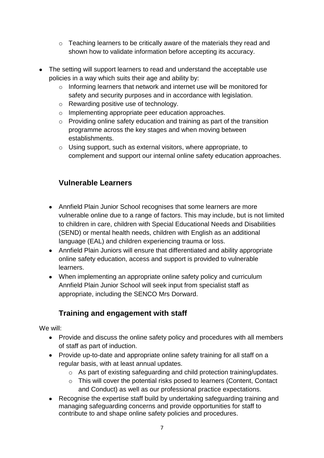- o Teaching learners to be critically aware of the materials they read and shown how to validate information before accepting its accuracy.
- The setting will support learners to read and understand the acceptable use policies in a way which suits their age and ability by:
	- o Informing learners that network and internet use will be monitored for safety and security purposes and in accordance with legislation.
	- o Rewarding positive use of technology.
	- o Implementing appropriate peer education approaches.
	- o Providing online safety education and training as part of the transition programme across the key stages and when moving between establishments.
	- o Using support, such as external visitors, where appropriate, to complement and support our internal online safety education approaches.

## **Vulnerable Learners**

- Annfield Plain Junior School recognises that some learners are more vulnerable online due to a range of factors. This may include, but is not limited to children in care, children with Special Educational Needs and Disabilities (SEND) or mental health needs, children with English as an additional language (EAL) and children experiencing trauma or loss.
- Annfield Plain Juniors will ensure that differentiated and ability appropriate online safety education, access and support is provided to vulnerable learners.
- When implementing an appropriate online safety policy and curriculum Annfield Plain Junior School will seek input from specialist staff as appropriate, including the SENCO Mrs Dorward.

## **Training and engagement with staff**

We will:

- Provide and discuss the online safety policy and procedures with all members of staff as part of induction.
- Provide up-to-date and appropriate online safety training for all staff on a regular basis, with at least annual updates.
	- o As part of existing safeguarding and child protection training/updates.
	- o This will cover the potential risks posed to learners (Content, Contact and Conduct) as well as our professional practice expectations.
- Recognise the expertise staff build by undertaking safeguarding training and managing safeguarding concerns and provide opportunities for staff to contribute to and shape online safety policies and procedures.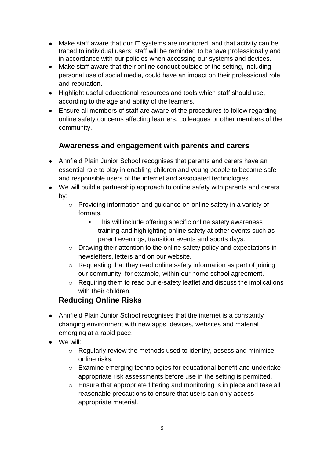- Make staff aware that our IT systems are monitored, and that activity can be traced to individual users; staff will be reminded to behave professionally and in accordance with our policies when accessing our systems and devices.
- Make staff aware that their online conduct outside of the setting, including personal use of social media, could have an impact on their professional role and reputation.
- Highlight useful educational resources and tools which staff should use, according to the age and ability of the learners.
- Ensure all members of staff are aware of the procedures to follow regarding online safety concerns affecting learners, colleagues or other members of the community.

## **Awareness and engagement with parents and carers**

- Annfield Plain Junior School recognises that parents and carers have an essential role to play in enabling children and young people to become safe and responsible users of the internet and associated technologies.
- We will build a partnership approach to online safety with parents and carers by:
	- o Providing information and guidance on online safety in a variety of formats.
		- This will include offering specific online safety awareness training and highlighting online safety at other events such as parent evenings, transition events and sports days.
	- o Drawing their attention to the online safety policy and expectations in newsletters, letters and on our website.
	- o Requesting that they read online safety information as part of joining our community, for example, within our home school agreement.
	- o Requiring them to read our e-safety leaflet and discuss the implications with their children.

## **Reducing Online Risks**

- Annfield Plain Junior School recognises that the internet is a constantly changing environment with new apps, devices, websites and material emerging at a rapid pace.
- We will:
	- o Regularly review the methods used to identify, assess and minimise online risks.
	- $\circ$  Examine emerging technologies for educational benefit and undertake appropriate risk assessments before use in the setting is permitted.
	- o Ensure that appropriate filtering and monitoring is in place and take all reasonable precautions to ensure that users can only access appropriate material.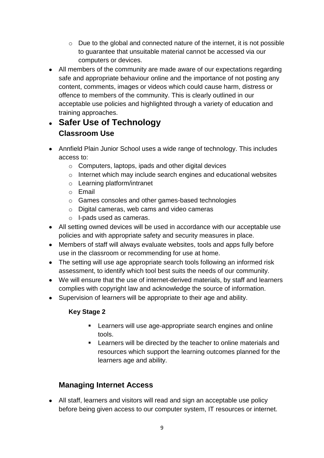- o Due to the global and connected nature of the internet, it is not possible to guarantee that unsuitable material cannot be accessed via our computers or devices.
- All members of the community are made aware of our expectations regarding safe and appropriate behaviour online and the importance of not posting any content, comments, images or videos which could cause harm, distress or offence to members of the community. This is clearly outlined in our acceptable use policies and highlighted through a variety of education and training approaches.

## • **Safer Use of Technology Classroom Use**

- Annfield Plain Junior School uses a wide range of technology. This includes access to:
	- o Computers, laptops, ipads and other digital devices
	- o Internet which may include search engines and educational websites
	- o Learning platform/intranet
	- o Email
	- o Games consoles and other games-based technologies
	- o Digital cameras, web cams and video cameras
	- o I-pads used as cameras.
- All setting owned devices will be used in accordance with our acceptable use policies and with appropriate safety and security measures in place.
- Members of staff will always evaluate websites, tools and apps fully before use in the classroom or recommending for use at home.
- The setting will use age appropriate search tools following an informed risk assessment, to identify which tool best suits the needs of our community.
- We will ensure that the use of internet-derived materials, by staff and learners complies with copyright law and acknowledge the source of information.
- Supervision of learners will be appropriate to their age and ability.

#### **Key Stage 2**

- **EXECT** Learners will use age-appropriate search engines and online tools.
- Learners will be directed by the teacher to online materials and resources which support the learning outcomes planned for the learners age and ability.

## **Managing Internet Access**

• All staff, learners and visitors will read and sign an acceptable use policy before being given access to our computer system, IT resources or internet.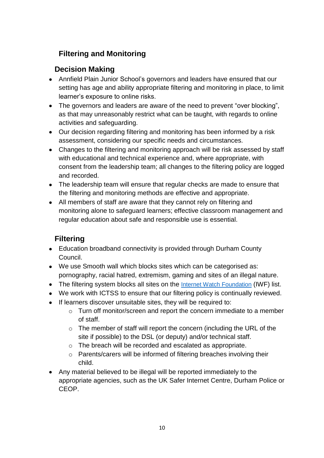## **Filtering and Monitoring**

## **Decision Making**

- Annfield Plain Junior School's governors and leaders have ensured that our setting has age and ability appropriate filtering and monitoring in place, to limit learner's exposure to online risks.
- The governors and leaders are aware of the need to prevent "over blocking", as that may unreasonably restrict what can be taught, with regards to online activities and safeguarding.
- Our decision regarding filtering and monitoring has been informed by a risk assessment, considering our specific needs and circumstances.
- Changes to the filtering and monitoring approach will be risk assessed by staff with educational and technical experience and, where appropriate, with consent from the leadership team; all changes to the filtering policy are logged and recorded.
- The leadership team will ensure that regular checks are made to ensure that the filtering and monitoring methods are effective and appropriate.
- All members of staff are aware that they cannot rely on filtering and monitoring alone to safeguard learners; effective classroom management and regular education about safe and responsible use is essential.

## **Filtering**

- Education broadband connectivity is provided through Durham County Council.
- We use Smooth wall which blocks sites which can be categorised as: pornography, racial hatred, extremism, gaming and sites of an illegal nature.
- The filtering system blocks all sites on the [Internet Watch Foundation](https://www.iwf.org.uk/) (IWF) list.
- We work with ICTSS to ensure that our filtering policy is continually reviewed.
- If learners discover unsuitable sites, they will be required to:
	- o Turn off monitor/screen and report the concern immediate to a member of staff.
	- $\circ$  The member of staff will report the concern (including the URL of the site if possible) to the DSL (or deputy) and/or technical staff.
	- o The breach will be recorded and escalated as appropriate.
	- o Parents/carers will be informed of filtering breaches involving their child.
- Any material believed to be illegal will be reported immediately to the appropriate agencies, such as the UK Safer Internet Centre, Durham Police or CEOP.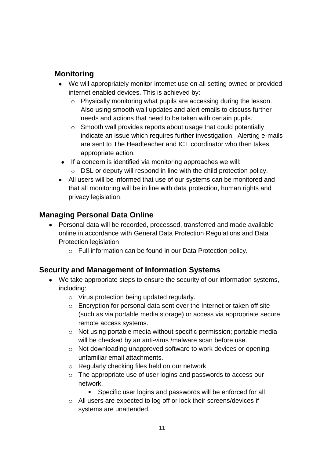## **Monitoring**

- We will appropriately monitor internet use on all setting owned or provided internet enabled devices. This is achieved by:
	- o Physically monitoring what pupils are accessing during the lesson. Also using smooth wall updates and alert emails to discuss further needs and actions that need to be taken with certain pupils.
	- o Smooth wall provides reports about usage that could potentially indicate an issue which requires further investigation. Alerting e-mails are sent to The Headteacher and ICT coordinator who then takes appropriate action.
- If a concern is identified via monitoring approaches we will: o DSL or deputy will respond in line with the child protection policy.
- All users will be informed that use of our systems can be monitored and that all monitoring will be in line with data protection, human rights and privacy legislation.

## **Managing Personal Data Online**

- Personal data will be recorded, processed, transferred and made available online in accordance with General Data Protection Regulations and Data Protection legislation.
	- o Full information can be found in our Data Protection policy.

## **Security and Management of Information Systems**

- We take appropriate steps to ensure the security of our information systems, including:
	- o Virus protection being updated regularly.
	- o Encryption for personal data sent over the Internet or taken off site (such as via portable media storage) or access via appropriate secure remote access systems.
	- o Not using portable media without specific permission; portable media will be checked by an anti-virus /malware scan before use.
	- o Not downloading unapproved software to work devices or opening unfamiliar email attachments.
	- o Regularly checking files held on our network,
	- o The appropriate use of user logins and passwords to access our network.
		- Specific user logins and passwords will be enforced for all
	- o All users are expected to log off or lock their screens/devices if systems are unattended.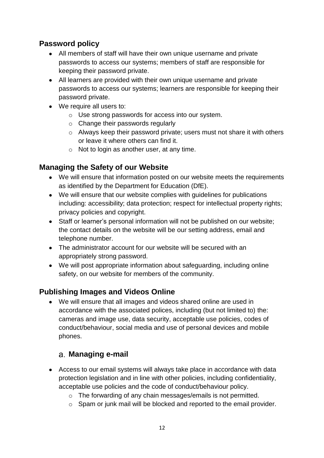## **Password policy**

- All members of staff will have their own unique username and private passwords to access our systems; members of staff are responsible for keeping their password private.
- All learners are provided with their own unique username and private passwords to access our systems; learners are responsible for keeping their password private.
- We require all users to:
	- o Use strong passwords for access into our system.
	- o Change their passwords regularly
	- o Always keep their password private; users must not share it with others or leave it where others can find it.
	- $\circ$  Not to login as another user, at any time.

## **Managing the Safety of our Website**

- We will ensure that information posted on our website meets the requirements as identified by the Department for Education (DfE).
- We will ensure that our website complies with quidelines for publications including: accessibility; data protection; respect for intellectual property rights; privacy policies and copyright.
- Staff or learner's personal information will not be published on our website; the contact details on the website will be our setting address, email and telephone number.
- The administrator account for our website will be secured with an appropriately strong password.
- We will post appropriate information about safeguarding, including online safety, on our website for members of the community.

## **Publishing Images and Videos Online**

• We will ensure that all images and videos shared online are used in accordance with the associated polices, including (but not limited to) the: cameras and image use, data security, acceptable use policies, codes of conduct/behaviour, social media and use of personal devices and mobile phones.

## **Managing e-mail**

- Access to our email systems will always take place in accordance with data protection legislation and in line with other policies, including confidentiality, acceptable use policies and the code of conduct/behaviour policy.
	- o The forwarding of any chain messages/emails is not permitted.
	- o Spam or junk mail will be blocked and reported to the email provider.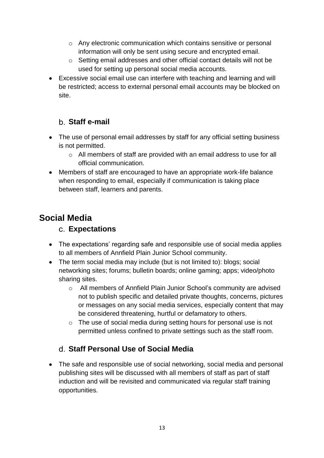- o Any electronic communication which contains sensitive or personal information will only be sent using secure and encrypted email.
- o Setting email addresses and other official contact details will not be used for setting up personal social media accounts.
- Excessive social email use can interfere with teaching and learning and will be restricted; access to external personal email accounts may be blocked on site.

## **Staff e-mail**

- The use of personal email addresses by staff for any official setting business is not permitted.
	- o All members of staff are provided with an email address to use for all official communication.
- Members of staff are encouraged to have an appropriate work-life balance when responding to email, especially if communication is taking place between staff, learners and parents.

## **Social Media**

## **Expectations**

- The expectations' regarding safe and responsible use of social media applies to all members of Annfield Plain Junior School community.
- The term social media may include (but is not limited to): blogs; social networking sites; forums; bulletin boards; online gaming; apps; video/photo sharing sites.
	- o All members of Annfield Plain Junior School's community are advised not to publish specific and detailed private thoughts, concerns, pictures or messages on any social media services, especially content that may be considered threatening, hurtful or defamatory to others.
	- o The use of social media during setting hours for personal use is not permitted unless confined to private settings such as the staff room.

## **Staff Personal Use of Social Media**

• The safe and responsible use of social networking, social media and personal publishing sites will be discussed with all members of staff as part of staff induction and will be revisited and communicated via regular staff training opportunities.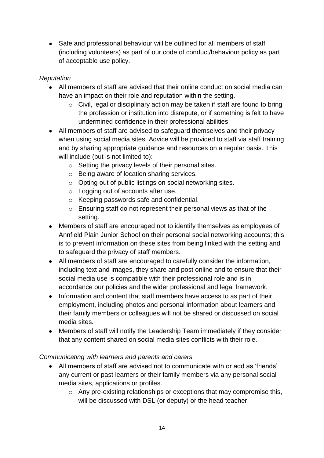• Safe and professional behaviour will be outlined for all members of staff (including volunteers) as part of our code of conduct/behaviour policy as part of acceptable use policy.

#### *Reputation*

- All members of staff are advised that their online conduct on social media can have an impact on their role and reputation within the setting.
	- o Civil, legal or disciplinary action may be taken if staff are found to bring the profession or institution into disrepute, or if something is felt to have undermined confidence in their professional abilities.
- All members of staff are advised to safeguard themselves and their privacy when using social media sites. Advice will be provided to staff via staff training and by sharing appropriate guidance and resources on a regular basis. This will include (but is not limited to):
	- o Setting the privacy levels of their personal sites.
	- o Being aware of location sharing services.
	- o Opting out of public listings on social networking sites.
	- o Logging out of accounts after use.
	- o Keeping passwords safe and confidential.
	- o Ensuring staff do not represent their personal views as that of the setting.
- Members of staff are encouraged not to identify themselves as employees of Annfield Plain Junior School on their personal social networking accounts; this is to prevent information on these sites from being linked with the setting and to safeguard the privacy of staff members.
- All members of staff are encouraged to carefully consider the information, including text and images, they share and post online and to ensure that their social media use is compatible with their professional role and is in accordance our policies and the wider professional and legal framework.
- Information and content that staff members have access to as part of their employment, including photos and personal information about learners and their family members or colleagues will not be shared or discussed on social media sites.
- Members of staff will notify the Leadership Team immediately if they consider that any content shared on social media sites conflicts with their role.

#### *Communicating with learners and parents and carers*

- All members of staff are advised not to communicate with or add as 'friends' any current or past learners or their family members via any personal social media sites, applications or profiles.
	- o Any pre-existing relationships or exceptions that may compromise this, will be discussed with DSL (or deputy) or the head teacher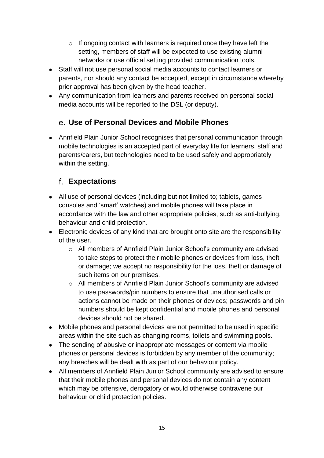- $\circ$  If ongoing contact with learners is required once they have left the setting, members of staff will be expected to use existing alumni networks or use official setting provided communication tools.
- Staff will not use personal social media accounts to contact learners or parents, nor should any contact be accepted, except in circumstance whereby prior approval has been given by the head teacher.
- Any communication from learners and parents received on personal social media accounts will be reported to the DSL (or deputy).

## **Use of Personal Devices and Mobile Phones**

• Annfield Plain Junior School recognises that personal communication through mobile technologies is an accepted part of everyday life for learners, staff and parents/carers, but technologies need to be used safely and appropriately within the setting.

## **Expectations**

- All use of personal devices (including but not limited to; tablets, games consoles and 'smart' watches) and mobile phones will take place in accordance with the law and other appropriate policies, such as anti-bullying, behaviour and child protection.
- Electronic devices of any kind that are brought onto site are the responsibility of the user.
	- o All members of Annfield Plain Junior School's community are advised to take steps to protect their mobile phones or devices from loss, theft or damage; we accept no responsibility for the loss, theft or damage of such items on our premises.
	- o All members of Annfield Plain Junior School's community are advised to use passwords/pin numbers to ensure that unauthorised calls or actions cannot be made on their phones or devices; passwords and pin numbers should be kept confidential and mobile phones and personal devices should not be shared.
- Mobile phones and personal devices are not permitted to be used in specific areas within the site such as changing rooms, toilets and swimming pools.
- The sending of abusive or inappropriate messages or content via mobile phones or personal devices is forbidden by any member of the community; any breaches will be dealt with as part of our behaviour policy.
- All members of Annfield Plain Junior School community are advised to ensure that their mobile phones and personal devices do not contain any content which may be offensive, derogatory or would otherwise contravene our behaviour or child protection policies.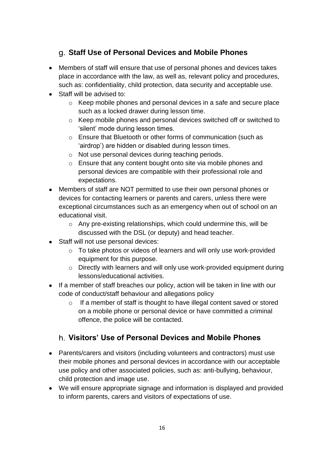## **Staff Use of Personal Devices and Mobile Phones**

- Members of staff will ensure that use of personal phones and devices takes place in accordance with the law, as well as, relevant policy and procedures, such as: confidentiality, child protection, data security and acceptable use.
- Staff will be advised to:
	- o Keep mobile phones and personal devices in a safe and secure place such as a locked drawer during lesson time.
	- o Keep mobile phones and personal devices switched off or switched to 'silent' mode during lesson times.
	- o Ensure that Bluetooth or other forms of communication (such as 'airdrop') are hidden or disabled during lesson times.
	- o Not use personal devices during teaching periods.
	- o Ensure that any content bought onto site via mobile phones and personal devices are compatible with their professional role and expectations.
- Members of staff are NOT permitted to use their own personal phones or devices for contacting learners or parents and carers, unless there were exceptional circumstances such as an emergency when out of school on an educational visit.
	- o Any pre-existing relationships, which could undermine this, will be discussed with the DSL (or deputy) and head teacher.
- Staff will not use personal devices:
	- o To take photos or videos of learners and will only use work-provided equipment for this purpose.
	- o Directly with learners and will only use work-provided equipment during lessons/educational activities.
- If a member of staff breaches our policy, action will be taken in line with our code of conduct/staff behaviour and allegations policy
	- $\circ$  If a member of staff is thought to have illegal content saved or stored on a mobile phone or personal device or have committed a criminal offence, the police will be contacted.

## **Visitors' Use of Personal Devices and Mobile Phones**

- Parents/carers and visitors (including volunteers and contractors) must use their mobile phones and personal devices in accordance with our acceptable use policy and other associated policies, such as: anti-bullying, behaviour, child protection and image use.
- We will ensure appropriate signage and information is displayed and provided to inform parents, carers and visitors of expectations of use.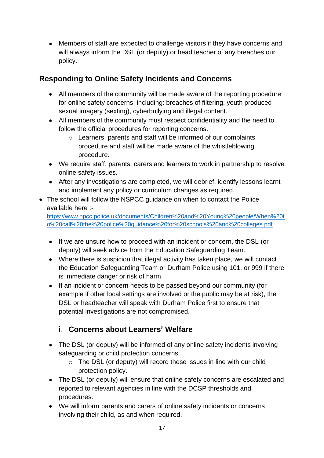• Members of staff are expected to challenge visitors if they have concerns and will always inform the DSL (or deputy) or head teacher of any breaches our policy.

## **Responding to Online Safety Incidents and Concerns**

- All members of the community will be made aware of the reporting procedure for online safety concerns, including: breaches of filtering, youth produced sexual imagery (sexting), cyberbullying and illegal content.
- All members of the community must respect confidentiality and the need to follow the official procedures for reporting concerns.
	- o Learners, parents and staff will be informed of our complaints procedure and staff will be made aware of the whistleblowing procedure.
- We require staff, parents, carers and learners to work in partnership to resolve online safety issues.
- After any investigations are completed, we will debrief, identify lessons learnt and implement any policy or curriculum changes as required.
- The school will follow the NSPCC quidance on when to contact the Police available here :-

[https://www.npcc.police.uk/documents/Children%20and%20Young%20people/When%20t](https://www.npcc.police.uk/documents/Children%20and%20Young%20people/When%20to%20call%20the%20police%20guidance%20for%20schools%20and%20colleges.pdf) [o%20call%20the%20police%20guidance%20for%20schools%20and%20colleges.pdf](https://www.npcc.police.uk/documents/Children%20and%20Young%20people/When%20to%20call%20the%20police%20guidance%20for%20schools%20and%20colleges.pdf)

- If we are unsure how to proceed with an incident or concern, the DSL (or deputy) will seek advice from the Education Safeguarding Team.
- Where there is suspicion that illegal activity has taken place, we will contact the Education Safeguarding Team or Durham Police using 101, or 999 if there is immediate danger or risk of harm.
- If an incident or concern needs to be passed beyond our community (for example if other local settings are involved or the public may be at risk), the DSL or headteacher will speak with Durham Police first to ensure that potential investigations are not compromised.

## **Concerns about Learners' Welfare**

- The DSL (or deputy) will be informed of any online safety incidents involving safeguarding or child protection concerns.
	- o The DSL (or deputy) will record these issues in line with our child protection policy.
- The DSL (or deputy) will ensure that online safety concerns are escalated and reported to relevant agencies in line with the DCSP thresholds and procedures.
- We will inform parents and carers of online safety incidents or concerns involving their child, as and when required.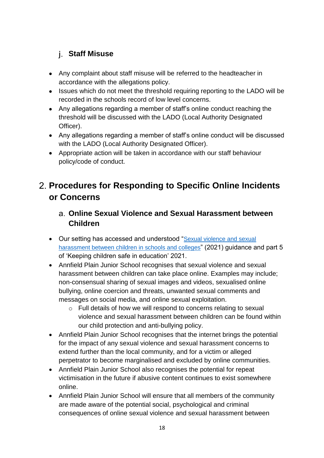## **Staff Misuse**

- Any complaint about staff misuse will be referred to the headteacher in accordance with the allegations policy.
- Issues which do not meet the threshold requiring reporting to the LADO will be recorded in the schools record of low level concerns.
- Any allegations regarding a member of staff's online conduct reaching the threshold will be discussed with the LADO (Local Authority Designated Officer).
- Any allegations regarding a member of staff's online conduct will be discussed with the LADO (Local Authority Designated Officer).
- Appropriate action will be taken in accordance with our staff behaviour policy/code of conduct.

## **Procedures for Responding to Specific Online Incidents or Concerns**

## **Online Sexual Violence and Sexual Harassment between Children**

- Our setting has accessed and understood "[Sexual violence and sexual](https://www.gov.uk/government/publications/sexual-violence-and-sexual-harassment-between-children-in-schools-and-colleges)  [harassment between children in schools and colleges](https://www.gov.uk/government/publications/sexual-violence-and-sexual-harassment-between-children-in-schools-and-colleges)" (2021) guidance and part 5 of 'Keeping children safe in education' 2021.
- Annfield Plain Junior School recognises that sexual violence and sexual harassment between children can take place online. Examples may include; non-consensual sharing of sexual images and videos, sexualised online bullying, online coercion and threats, unwanted sexual comments and messages on social media, and online sexual exploitation.
	- o Full details of how we will respond to concerns relating to sexual violence and sexual harassment between children can be found within our child protection and anti-bullying policy.
- Annfield Plain Junior School recognises that the internet brings the potential for the impact of any sexual violence and sexual harassment concerns to extend further than the local community, and for a victim or alleged perpetrator to become marginalised and excluded by online communities.
- Annfield Plain Junior School also recognises the potential for repeat victimisation in the future if abusive content continues to exist somewhere online.
- Annfield Plain Junior School will ensure that all members of the community are made aware of the potential social, psychological and criminal consequences of online sexual violence and sexual harassment between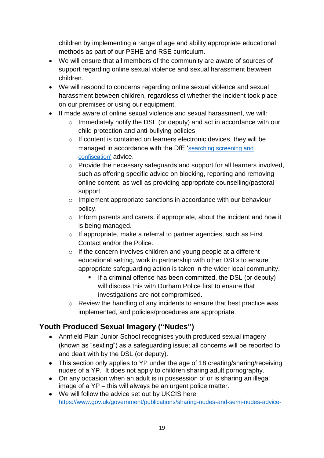children by implementing a range of age and ability appropriate educational methods as part of our PSHE and RSE curriculum.

- We will ensure that all members of the community are aware of sources of support regarding online sexual violence and sexual harassment between children.
- We will respond to concerns regarding online sexual violence and sexual harassment between children, regardless of whether the incident took place on our premises or using our equipment.
- If made aware of online sexual violence and sexual harassment, we will:
	- $\circ$  Immediately notify the DSL (or deputy) and act in accordance with our child protection and anti-bullying policies.
	- o If content is contained on learners electronic devices, they will be managed in accordance with the DfE '[searching screening and](https://www.gov.uk/government/publications/searching-screening-and-confiscation)  [confiscation'](https://www.gov.uk/government/publications/searching-screening-and-confiscation) advice.
	- o Provide the necessary safeguards and support for all learners involved, such as offering specific advice on blocking, reporting and removing online content, as well as providing appropriate counselling/pastoral support.
	- o Implement appropriate sanctions in accordance with our behaviour policy.
	- o Inform parents and carers, if appropriate, about the incident and how it is being managed.
	- $\circ$  If appropriate, make a referral to partner agencies, such as First Contact and/or the Police.
	- o If the concern involves children and young people at a different educational setting, work in partnership with other DSLs to ensure appropriate safeguarding action is taken in the wider local community.
		- If a criminal offence has been committed, the DSL (or deputy) will discuss this with Durham Police first to ensure that investigations are not compromised.
	- o Review the handling of any incidents to ensure that best practice was implemented, and policies/procedures are appropriate.

## **Youth Produced Sexual Imagery ("Nudes")**

- Annfield Plain Junior School recognises youth produced sexual imagery (known as "sexting") as a safeguarding issue; all concerns will be reported to and dealt with by the DSL (or deputy).
- This section only applies to YP under the age of 18 creating/sharing/receiving nudes of a YP. It does not apply to children sharing adult pornography.
- On any occasion when an adult is in possession of or is sharing an illegal image of a YP – this will always be an urgent police matter.
- We will follow the advice set out by UKCIS here [https://www.gov.uk/government/publications/sharing-nudes-and-semi-nudes-advice-](https://www.gov.uk/government/publications/sharing-nudes-and-semi-nudes-advice-for-education-settings-working-with-children-and-young-people)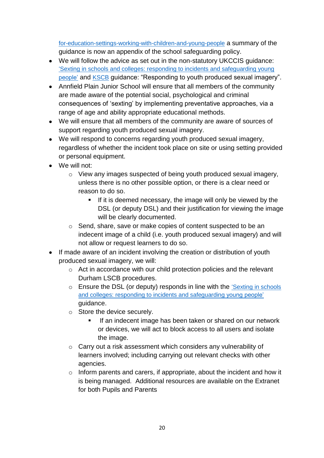[for-education-settings-working-with-children-and-young-people](https://www.gov.uk/government/publications/sharing-nudes-and-semi-nudes-advice-for-education-settings-working-with-children-and-young-people) a summary of the guidance is now an appendix of the school safeguarding policy.

- We will follow the advice as set out in the non-statutory UKCCIS guidance: ['Sexting in schools and colleges: responding to incidents and safeguarding young](https://www.gov.uk/government/groups/uk-council-for-child-internet-safety-ukccis)  [people'](https://www.gov.uk/government/groups/uk-council-for-child-internet-safety-ukccis) and [KSCB](http://www.kscb.org.uk/guidance/online-safety) guidance: "Responding to youth produced sexual imagery".
- Annfield Plain Junior School will ensure that all members of the community are made aware of the potential social, psychological and criminal consequences of 'sexting' by implementing preventative approaches, via a range of age and ability appropriate educational methods.
- We will ensure that all members of the community are aware of sources of support regarding youth produced sexual imagery.
- We will respond to concerns regarding youth produced sexual imagery, regardless of whether the incident took place on site or using setting provided or personal equipment.
- We will not:
	- o View any images suspected of being youth produced sexual imagery, unless there is no other possible option, or there is a clear need or reason to do so.
		- **EXT** If it is deemed necessary, the image will only be viewed by the DSL (or deputy DSL) and their justification for viewing the image will be clearly documented.
	- o Send, share, save or make copies of content suspected to be an indecent image of a child (i.e. youth produced sexual imagery) and will not allow or request learners to do so.
- If made aware of an incident involving the creation or distribution of youth produced sexual imagery, we will:
	- o Act in accordance with our child protection policies and the relevant Durham LSCB procedures.
	- o Ensure the DSL (or deputy) responds in line with the 'Sexting in schools [and colleges: responding to incidents and safeguarding young people'](https://www.gov.uk/government/groups/uk-council-for-child-internet-safety-ukccis) guidance.
	- o Store the device securely.
		- If an indecent image has been taken or shared on our network or devices, we will act to block access to all users and isolate the image.
	- o Carry out a risk assessment which considers any vulnerability of learners involved; including carrying out relevant checks with other agencies.
	- $\circ$  Inform parents and carers, if appropriate, about the incident and how it is being managed. Additional resources are available on the Extranet for both Pupils and Parents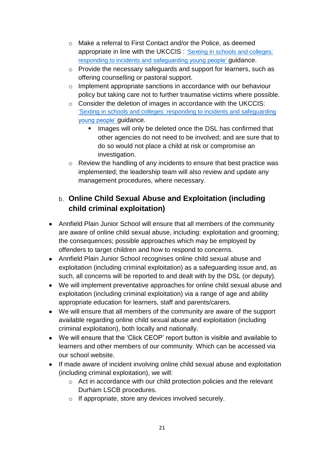- o Make a referral to First Contact and/or the Police, as deemed appropriate in line with the UKCCIS : ['Sexting in schools and colleges:](https://www.gov.uk/government/groups/uk-council-for-child-internet-safety-ukccis)  [responding to incidents and safeguarding young people'](https://www.gov.uk/government/groups/uk-council-for-child-internet-safety-ukccis) guidance.
- o Provide the necessary safeguards and support for learners, such as offering counselling or pastoral support.
- o Implement appropriate sanctions in accordance with our behaviour policy but taking care not to further traumatise victims where possible.
- o Consider the deletion of images in accordance with the UKCCIS: ['Sexting in schools and colleges: responding to incidents and safeguarding](https://www.gov.uk/government/groups/uk-council-for-child-internet-safety-ukccis)  [young people'](https://www.gov.uk/government/groups/uk-council-for-child-internet-safety-ukccis) guidance.
	- Images will only be deleted once the DSL has confirmed that other agencies do not need to be involved; and are sure that to do so would not place a child at risk or compromise an investigation.
- o Review the handling of any incidents to ensure that best practice was implemented; the leadership team will also review and update any management procedures, where necessary.

## **Online Child Sexual Abuse and Exploitation (including child criminal exploitation)**

- Annfield Plain Junior School will ensure that all members of the community are aware of online child sexual abuse, including: exploitation and grooming; the consequences; possible approaches which may be employed by offenders to target children and how to respond to concerns.
- Annfield Plain Junior School recognises online child sexual abuse and exploitation (including criminal exploitation) as a safeguarding issue and, as such, all concerns will be reported to and dealt with by the DSL (or deputy).
- We will implement preventative approaches for online child sexual abuse and exploitation (including criminal exploitation) via a range of age and ability appropriate education for learners, staff and parents/carers.
- We will ensure that all members of the community are aware of the support available regarding online child sexual abuse and exploitation (including criminal exploitation), both locally and nationally.
- We will ensure that the 'Click CEOP' report button is visible and available to learners and other members of our community. Which can be accessed via our school website.
- If made aware of incident involving online child sexual abuse and exploitation (including criminal exploitation), we will:
	- o Act in accordance with our child protection policies and the relevant Durham LSCB procedures.
	- o If appropriate, store any devices involved securely.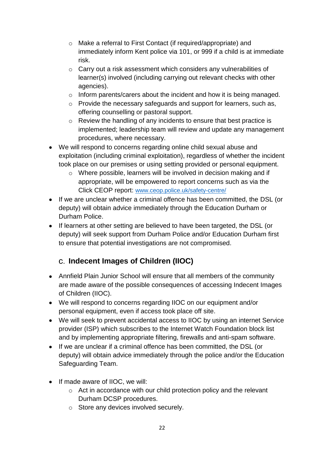- o Make a referral to First Contact (if required/appropriate) and immediately inform Kent police via 101, or 999 if a child is at immediate risk.
- o Carry out a risk assessment which considers any vulnerabilities of learner(s) involved (including carrying out relevant checks with other agencies).
- o Inform parents/carers about the incident and how it is being managed.
- o Provide the necessary safeguards and support for learners, such as, offering counselling or pastoral support.
- o Review the handling of any incidents to ensure that best practice is implemented; leadership team will review and update any management procedures, where necessary.
- We will respond to concerns regarding online child sexual abuse and exploitation (including criminal exploitation), regardless of whether the incident took place on our premises or using setting provided or personal equipment.
	- o Where possible, learners will be involved in decision making and if appropriate, will be empowered to report concerns such as via the Click CEOP report: [www.ceop.police.uk/safety-centre/](http://www.ceop.police.uk/safety-centre/)
- If we are unclear whether a criminal offence has been committed, the DSL (or deputy) will obtain advice immediately through the Education Durham or Durham Police.
- If learners at other setting are believed to have been targeted, the DSL (or deputy) will seek support from Durham Police and/or Education Durham first to ensure that potential investigations are not compromised.

## **Indecent Images of Children (IIOC)**

- Annfield Plain Junior School will ensure that all members of the community are made aware of the possible consequences of accessing Indecent Images of Children (IIOC).
- We will respond to concerns regarding IIOC on our equipment and/or personal equipment, even if access took place off site.
- We will seek to prevent accidental access to IIOC by using an internet Service provider (ISP) which subscribes to the Internet Watch Foundation block list and by implementing appropriate filtering, firewalls and anti-spam software.
- If we are unclear if a criminal offence has been committed, the DSL (or deputy) will obtain advice immediately through the police and/or the Education Safeguarding Team.
- If made aware of IIOC, we will:
	- o Act in accordance with our child protection policy and the relevant Durham DCSP procedures.
	- o Store any devices involved securely.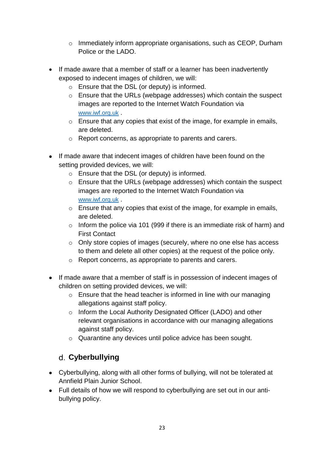- o Immediately inform appropriate organisations, such as CEOP, Durham Police or the LADO.
- If made aware that a member of staff or a learner has been inadvertently exposed to indecent images of children, we will:
	- o Ensure that the DSL (or deputy) is informed.
	- $\circ$  Ensure that the URLs (webpage addresses) which contain the suspect images are reported to the Internet Watch Foundation via [www.iwf.org.uk](https://www.iwf.org.uk/) .
	- o Ensure that any copies that exist of the image, for example in emails, are deleted.
	- o Report concerns, as appropriate to parents and carers.
- If made aware that indecent images of children have been found on the setting provided devices, we will:
	- o Ensure that the DSL (or deputy) is informed.
	- o Ensure that the URLs (webpage addresses) which contain the suspect images are reported to the Internet Watch Foundation via [www.iwf.org.uk](https://www.iwf.org.uk/) .
	- o Ensure that any copies that exist of the image, for example in emails, are deleted.
	- o Inform the police via 101 (999 if there is an immediate risk of harm) and First Contact
	- o Only store copies of images (securely, where no one else has access to them and delete all other copies) at the request of the police only.
	- o Report concerns, as appropriate to parents and carers.
- If made aware that a member of staff is in possession of indecent images of children on setting provided devices, we will:
	- $\circ$  Ensure that the head teacher is informed in line with our managing allegations against staff policy.
	- o Inform the Local Authority Designated Officer (LADO) and other relevant organisations in accordance with our managing allegations against staff policy.
	- o Quarantine any devices until police advice has been sought.

## **Cyberbullying**

- Cyberbullying, along with all other forms of bullying, will not be tolerated at Annfield Plain Junior School.
- Full details of how we will respond to cyberbullying are set out in our antibullying policy.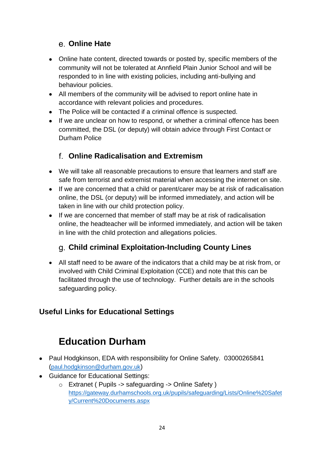## **Online Hate**

- Online hate content, directed towards or posted by, specific members of the community will not be tolerated at Annfield Plain Junior School and will be responded to in line with existing policies, including anti-bullying and behaviour policies.
- All members of the community will be advised to report online hate in accordance with relevant policies and procedures.
- The Police will be contacted if a criminal offence is suspected.
- If we are unclear on how to respond, or whether a criminal offence has been committed, the DSL (or deputy) will obtain advice through First Contact or Durham Police

## **Online Radicalisation and Extremism**

- We will take all reasonable precautions to ensure that learners and staff are safe from terrorist and extremist material when accessing the internet on site.
- If we are concerned that a child or parent/carer may be at risk of radicalisation online, the DSL (or deputy) will be informed immediately, and action will be taken in line with our child protection policy.
- If we are concerned that member of staff may be at risk of radicalisation online, the headteacher will be informed immediately, and action will be taken in line with the child protection and allegations policies.

## **Child criminal Exploitation-Including County Lines**

• All staff need to be aware of the indicators that a child may be at risk from, or involved with Child Criminal Exploitation (CCE) and note that this can be facilitated through the use of technology. Further details are in the schools safeguarding policy.

## **Useful Links for Educational Settings**

## **Education Durham**

- Paul Hodgkinson, EDA with responsibility for Online Safety. 03000265841 ([paul.hodgkinson@durham.gov.uk](mailto:paul.hodgkinson@durham.gov.uk))
- Guidance for Educational Settings:
	- o Extranet ( Pupils -> safeguarding -> Online Safety ) [https://gateway.durhamschools.org.uk/pupils/safeguarding/Lists/Online%20Safet](https://gateway.durhamschools.org.uk/pupils/safeguarding/Lists/Online%20Safety/Current%20Documents.aspx) [y/Current%20Documents.aspx](https://gateway.durhamschools.org.uk/pupils/safeguarding/Lists/Online%20Safety/Current%20Documents.aspx)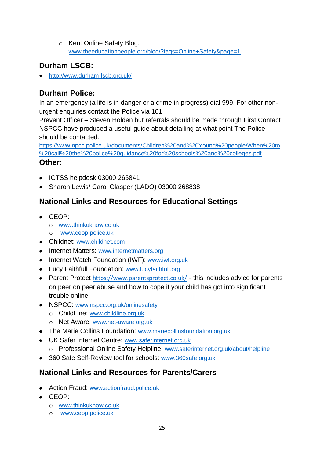o Kent Online Safety Blog: [www.theeducationpeople.org/blog/?tags=Online+Safety&page=1](http://www.theeducationpeople.org/blog/?tags=Online+Safety&page=1)

## **Durham LSCB:**

• <http://www.durham-lscb.org.uk/>

## **Durham Police:**

In an emergency (a life is in danger or a crime in progress) dial 999. For other nonurgent enquiries contact the Police via 101

Prevent Officer – Steven Holden but referrals should be made through First Contact NSPCC have produced a useful guide about detailing at what point The Police should be contacted.

[https://www.npcc.police.uk/documents/Children%20and%20Young%20people/When%20to](https://www.npcc.police.uk/documents/Children%20and%20Young%20people/When%20to%20call%20the%20police%20guidance%20for%20schools%20and%20colleges.pdf) [%20call%20the%20police%20guidance%20for%20schools%20and%20colleges.pdf](https://www.npcc.police.uk/documents/Children%20and%20Young%20people/When%20to%20call%20the%20police%20guidance%20for%20schools%20and%20colleges.pdf)

### **Other:**

- ICTSS helpdesk 03000 265841
- Sharon Lewis/ Carol Glasper (LADO) 03000 268838

## **National Links and Resources for Educational Settings**

- CEOP:
	- o [www.thinkuknow.co.uk](http://www.thinkuknow.co.uk/)
	- o [www.ceop.police.uk](http://www.ceop.police.uk/)
- Childnet: [www.childnet.com](http://www.childnet.com/)
- Internet Matters: [www.internetmatters.org](http://www.internetmatters.org/)
- Internet Watch Foundation (IWF): [www.iwf.org.uk](http://www.iwf.org.uk/)
- Lucy Faithfull Foundation: [www.lucyfaithfull.org](http://www.lucyfaithfull.org/)
- Parent Protect https://www.parentsprotect.co.uk/ this includes advice for parents on peer on peer abuse and how to cope if your child has got into significant trouble online.
- NSPCC: [www.nspcc.org.uk/onlinesafety](http://www.nspcc.org.uk/onlinesafety)
	- o ChildLine: [www.childline.org.uk](http://www.childline.org.uk/)
	- o Net Aware: [www.net-aware.org.uk](http://www.net-aware.org.uk/)
- The Marie Collins Foundation: [www.mariecollinsfoundation.org.uk](http://www.mariecollinsfoundation.org.uk/)
- UK Safer Internet Centre: [www.saferinternet.org.uk](http://www.saferinternet.org.uk/) o Professional Online Safety Helpline: [www.saferinternet.org.uk/about/helpline](http://www.saferinternet.org.uk/about/helpline)
- 360 Safe Self-Review tool for schools: [www.360safe.org.uk](http://www.360safe.org.uk/)

## **National Links and Resources for Parents/Carers**

- Action Fraud: [www.actionfraud.police.uk](http://www.actionfraud.police.uk/)
- CEOP:
	- o [www.thinkuknow.co.uk](http://www.thinkuknow.co.uk/)
	- o [www.ceop.police.uk](http://www.ceop.police.uk/)